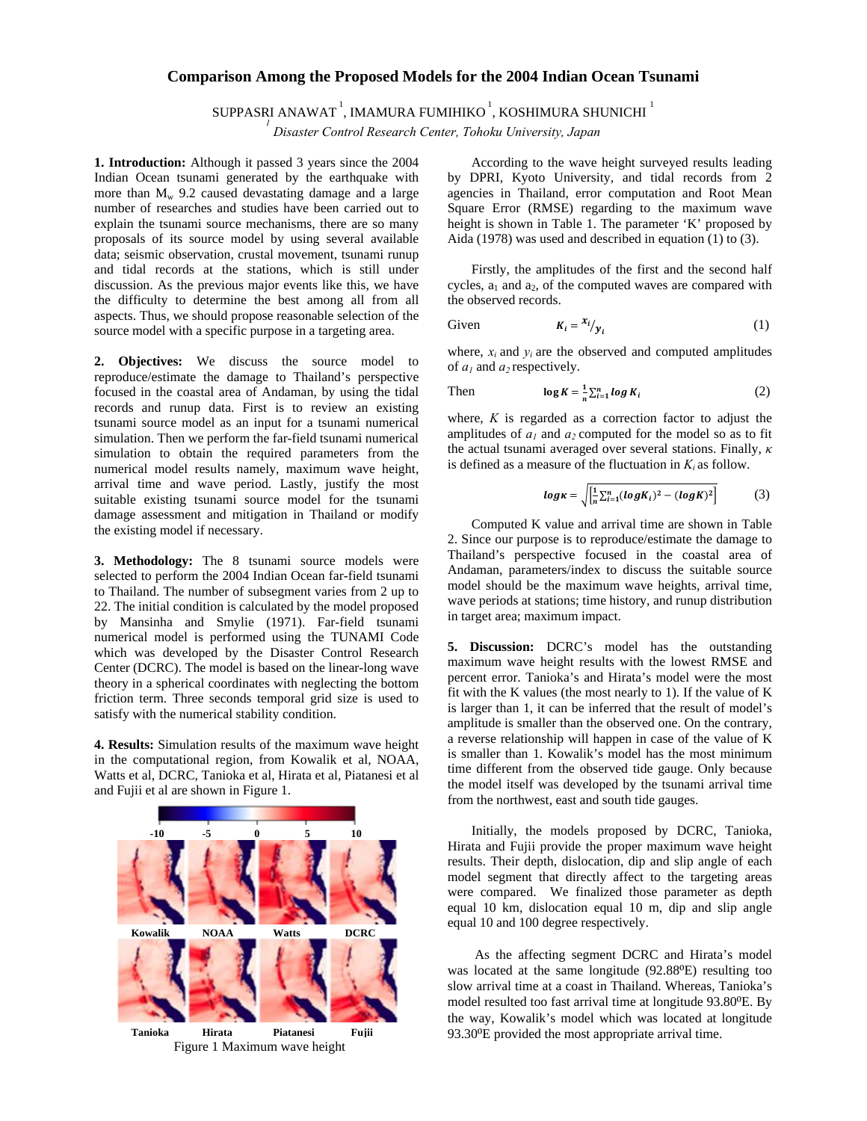## **Comparison Among the Proposed Models for the 2004 Indian Ocean Tsunami**

SUPPASRI ANAWAT<sup>1</sup>, IMAMURA FUMIHIKO<sup>1</sup>, KOSHIMURA SHUNICHI<sup>1</sup>

 *Disaster Control Research Center, Tohoku University, Japan* 

**1. Introduction:** Although it passed 3 years since the 2004 Indian Ocean tsunami generated by the earthquake with more than  $M_w$  9.2 caused devastating damage and a large number of researches and studies have been carried out to explain the tsunami source mechanisms, there are so many proposals of its source model by using several available data; seismic observation, crustal movement, tsunami runup and tidal records at the stations, which is still under discussion. As the previous major events like this, we have the difficulty to determine the best among all from all aspects. Thus, we should propose reasonable selection of the source model with a specific purpose in a targeting area.

**2. Objectives:** We discuss the source model to reproduce/estimate the damage to Thailand's perspective focused in the coastal area of Andaman, by using the tidal records and runup data. First is to review an existing tsunami source model as an input for a tsunami numerical simulation. Then we perform the far-field tsunami numerical simulation to obtain the required parameters from the numerical model results namely, maximum wave height, arrival time and wave period. Lastly, justify the most suitable existing tsunami source model for the tsunami damage assessment and mitigation in Thailand or modify the existing model if necessary.

**3. Methodology:** The 8 tsunami source models were selected to perform the 2004 Indian Ocean far-field tsunami to Thailand. The number of subsegment varies from 2 up to 22. The initial condition is calculated by the model proposed by Mansinha and Smylie (1971). Far-field tsunami numerical model is performed using the TUNAMI Code which was developed by the Disaster Control Research Center (DCRC). The model is based on the linear-long wave theory in a spherical coordinates with neglecting the bottom friction term. Three seconds temporal grid size is used to satisfy with the numerical stability condition.

**4. Results:** Simulation results of the maximum wave height in the computational region, from Kowalik et al, NOAA, Watts et al, DCRC, Tanioka et al, Hirata et al, Piatanesi et al and Fujii et al are shown in Figure 1.



According to the wave height surveyed results leading by DPRI, Kyoto University, and tidal records from 2 agencies in Thailand, error computation and Root Mean Square Error (RMSE) regarding to the maximum wave height is shown in Table 1. The parameter 'K' proposed by Aida (1978) was used and described in equation (1) to (3).

Firstly, the amplitudes of the first and the second half cycles,  $a_1$  and  $a_2$ , of the computed waves are compared with the observed records.

Given 
$$
K_i = \frac{x_i}{y_i}
$$
 (1)

where,  $x_i$  and  $y_i$  are the observed and computed amplitudes of  $a_1$  and  $a_2$  respectively.

Then 
$$
\log K = \frac{1}{n} \sum_{i=1}^{n} \log K_i
$$
 (2)

where, *K* is regarded as a correction factor to adjust the amplitudes of  $a_1$  and  $a_2$  computed for the model so as to fit the actual tsunami averaged over several stations. Finally, *κ* is defined as a measure of the fluctuation in  $K_i$  as follow.

$$
log \kappa = \sqrt{\left[\frac{1}{n} \sum_{i=1}^{n} (log K_i)^2 - (log K)^2\right]}
$$
 (3)

Computed K value and arrival time are shown in Table 2. Since our purpose is to reproduce/estimate the damage to Thailand's perspective focused in the coastal area of Andaman, parameters/index to discuss the suitable source model should be the maximum wave heights, arrival time, wave periods at stations; time history, and runup distribution in target area; maximum impact.

**5. Discussion:** DCRC's model has the outstanding maximum wave height results with the lowest RMSE and percent error. Tanioka's and Hirata's model were the most fit with the K values (the most nearly to 1). If the value of K is larger than 1, it can be inferred that the result of model's amplitude is smaller than the observed one. On the contrary, a reverse relationship will happen in case of the value of K is smaller than 1. Kowalik's model has the most minimum time different from the observed tide gauge. Only because the model itself was developed by the tsunami arrival time from the northwest, east and south tide gauges.

Initially, the models proposed by DCRC, Tanioka, Hirata and Fujii provide the proper maximum wave height results. Their depth, dislocation, dip and slip angle of each model segment that directly affect to the targeting areas were compared. We finalized those parameter as depth equal 10 km, dislocation equal 10 m, dip and slip angle equal 10 and 100 degree respectively.

 As the affecting segment DCRC and Hirata's model was located at the same longitude (92.88<sup>o</sup>E) resulting too slow arrival time at a coast in Thailand. Whereas, Tanioka's model resulted too fast arrival time at longitude 93.80<sup>o</sup>E. By the way, Kowalik's model which was located at longitude